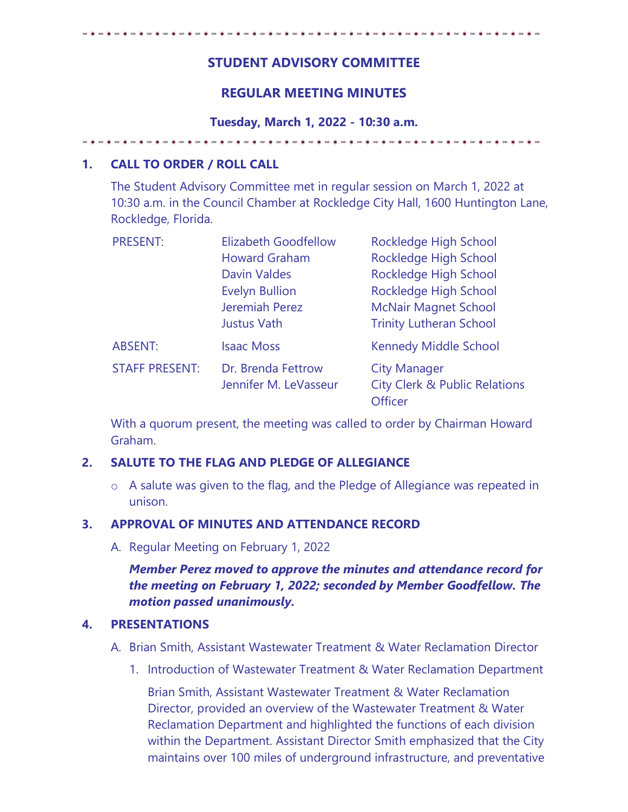# **STUDENT ADVISORY COMMITTEE**

## **REGULAR MEETING MINUTES**

**Tuesday, March 1, 2022 - 10:30 a.m.** 

### **1. CALL TO ORDER / ROLL CALL**

The Student Advisory Committee met in regular session on March 1, 2022 at 10:30 a.m. in the Council Chamber at Rockledge City Hall, 1600 Huntington Lane, Rockledge, Florida.

| <b>PRESENT:</b>       | <b>Elizabeth Goodfellow</b> | Rockledge High School                    |
|-----------------------|-----------------------------|------------------------------------------|
|                       | <b>Howard Graham</b>        | Rockledge High School                    |
|                       | <b>Davin Valdes</b>         | Rockledge High School                    |
|                       | <b>Evelyn Bullion</b>       | Rockledge High School                    |
|                       | Jeremiah Perez              | <b>McNair Magnet School</b>              |
|                       | <b>Justus Vath</b>          | <b>Trinity Lutheran School</b>           |
| <b>ABSENT:</b>        | <b>Isaac Moss</b>           | <b>Kennedy Middle School</b>             |
| <b>STAFF PRESENT:</b> | Dr. Brenda Fettrow          | <b>City Manager</b>                      |
|                       | Jennifer M. LeVasseur       | <b>City Clerk &amp; Public Relations</b> |
|                       |                             | <b>Officer</b>                           |

With a quorum present, the meeting was called to order by Chairman Howard Graham.

## **2. SALUTE TO THE FLAG AND PLEDGE OF ALLEGIANCE**

o A salute was given to the flag, and the Pledge of Allegiance was repeated in unison.

## **3. APPROVAL OF MINUTES AND ATTENDANCE RECORD**

A. Regular Meeting on February 1, 2022

*Member Perez moved to approve the minutes and attendance record for the meeting on February 1, 2022; seconded by Member Goodfellow. The motion passed unanimously.* 

## **4. PRESENTATIONS**

- A. Brian Smith, Assistant Wastewater Treatment & Water Reclamation Director
	- 1. Introduction of Wastewater Treatment & Water Reclamation Department

Brian Smith, Assistant Wastewater Treatment & Water Reclamation Director, provided an overview of the Wastewater Treatment & Water Reclamation Department and highlighted the functions of each division within the Department. Assistant Director Smith emphasized that the City maintains over 100 miles of underground infrastructure, and preventative